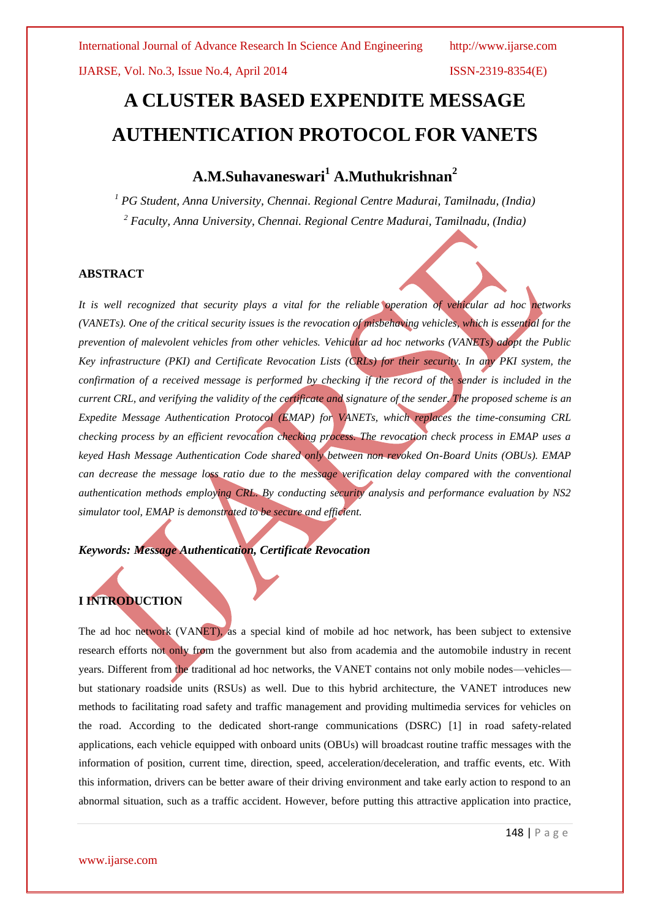# **A CLUSTER BASED EXPENDITE MESSAGE AUTHENTICATION PROTOCOL FOR VANETS**

## **A.M.Suhavaneswari<sup>1</sup> A.Muthukrishnan<sup>2</sup>**

*<sup>1</sup> PG Student, Anna University, Chennai. Regional Centre Madurai, Tamilnadu, (India) <sup>2</sup> Faculty, Anna University, Chennai. Regional Centre Madurai, Tamilnadu, (India)*

#### **ABSTRACT**

*It is well recognized that security plays a vital for the reliable operation of vehicular ad hoc networks (VANETs). One of the critical security issues is the revocation of misbehaving vehicles, which is essential for the prevention of malevolent vehicles from other vehicles. Vehicular ad hoc networks (VANETs) adopt the Public Key infrastructure (PKI) and Certificate Revocation Lists (CRLs) for their security. In any PKI system, the confirmation of a received message is performed by checking if the record of the sender is included in the current CRL, and verifying the validity of the certificate and signature of the sender. The proposed scheme is an Expedite Message Authentication Protocol (EMAP) for VANETs, which replaces the time-consuming CRL checking process by an efficient revocation checking process. The revocation check process in EMAP uses a keyed Hash Message Authentication Code shared only between non revoked On-Board Units (OBUs). EMAP can decrease the message loss ratio due to the message verification delay compared with the conventional authentication methods employing CRL. By conducting security analysis and performance evaluation by NS2 simulator tool, EMAP is demonstrated to be secure and efficient.*

*Keywords: Message Authentication, Certificate Revocation*

### **I INTRODUCTION**

The ad hoc network (VANET), as a special kind of mobile ad hoc network, has been subject to extensive research efforts not only from the government but also from academia and the automobile industry in recent years. Different from the traditional ad hoc networks, the VANET contains not only mobile nodes—vehicles but stationary roadside units (RSUs) as well. Due to this hybrid architecture, the VANET introduces new methods to facilitating road safety and traffic management and providing multimedia services for vehicles on the road. According to the dedicated short-range communications (DSRC) [1] in road safety-related applications, each vehicle equipped with onboard units (OBUs) will broadcast routine traffic messages with the information of position, current time, direction, speed, acceleration/deceleration, and traffic events, etc. With this information, drivers can be better aware of their driving environment and take early action to respond to an abnormal situation, such as a traffic accident. However, before putting this attractive application into practice,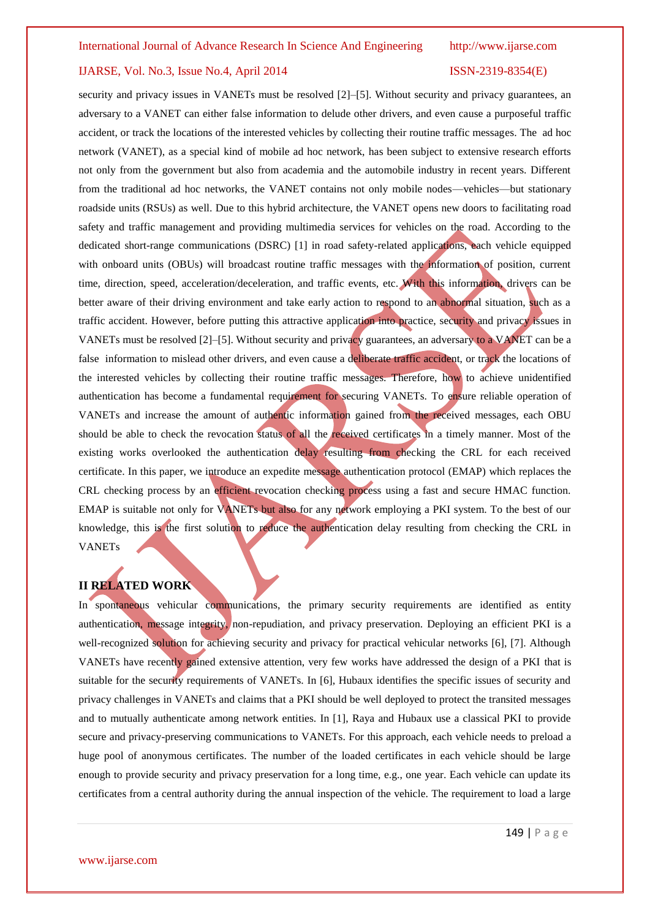security and privacy issues in VANETs must be resolved [2]–[5]. Without security and privacy guarantees, an adversary to a VANET can either false information to delude other drivers, and even cause a purposeful traffic accident, or track the locations of the interested vehicles by collecting their routine traffic messages. The ad hoc network (VANET), as a special kind of mobile ad hoc network, has been subject to extensive research efforts not only from the government but also from academia and the automobile industry in recent years. Different from the traditional ad hoc networks, the VANET contains not only mobile nodes—vehicles—but stationary roadside units (RSUs) as well. Due to this hybrid architecture, the VANET opens new doors to facilitating road safety and traffic management and providing multimedia services for vehicles on the road. According to the dedicated short-range communications (DSRC) [1] in road safety-related applications, each vehicle equipped with onboard units (OBUs) will broadcast routine traffic messages with the information of position, current time, direction, speed, acceleration/deceleration, and traffic events, etc. With this information, drivers can be better aware of their driving environment and take early action to respond to an abnormal situation, such as a traffic accident. However, before putting this attractive application into practice, security and privacy issues in VANETs must be resolved [2]–[5]. Without security and privacy guarantees, an adversary to a VANET can be a false information to mislead other drivers, and even cause a deliberate traffic accident, or track the locations of the interested vehicles by collecting their routine traffic messages. Therefore, how to achieve unidentified authentication has become a fundamental requirement for securing VANETs. To ensure reliable operation of VANETs and increase the amount of authentic information gained from the received messages, each OBU should be able to check the revocation status of all the received certificates in a timely manner. Most of the existing works overlooked the authentication delay resulting from checking the CRL for each received certificate. In this paper, we introduce an expedite message authentication protocol (EMAP) which replaces the CRL checking process by an efficient revocation checking process using a fast and secure HMAC function. EMAP is suitable not only for VANETs but also for any network employing a PKI system. To the best of our knowledge, this is the first solution to reduce the authentication delay resulting from checking the CRL in VANETs

### **II RELATED WORK**

In spontaneous vehicular communications, the primary security requirements are identified as entity authentication, message integrity, non-repudiation, and privacy preservation. Deploying an efficient PKI is a well-recognized solution for achieving security and privacy for practical vehicular networks [6], [7]. Although VANETs have recently gained extensive attention, very few works have addressed the design of a PKI that is suitable for the security requirements of VANETs. In [6], Hubaux identifies the specific issues of security and privacy challenges in VANETs and claims that a PKI should be well deployed to protect the transited messages and to mutually authenticate among network entities. In [1], Raya and Hubaux use a classical PKI to provide secure and privacy-preserving communications to VANETs. For this approach, each vehicle needs to preload a huge pool of anonymous certificates. The number of the loaded certificates in each vehicle should be large enough to provide security and privacy preservation for a long time, e.g., one year. Each vehicle can update its certificates from a central authority during the annual inspection of the vehicle. The requirement to load a large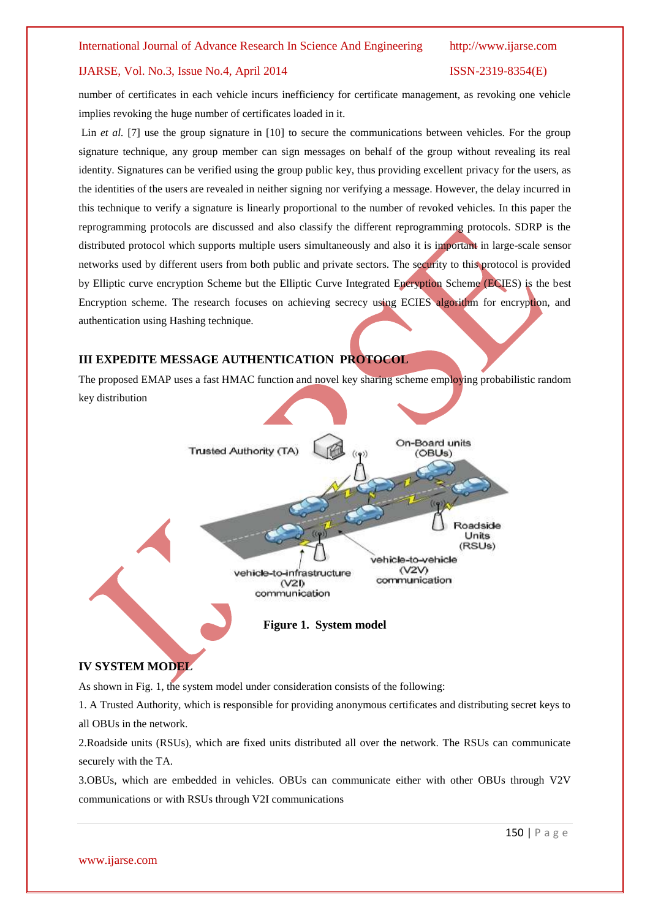number of certificates in each vehicle incurs inefficiency for certificate management, as revoking one vehicle implies revoking the huge number of certificates loaded in it.

Lin *et al.* [7] use the group signature in [10] to secure the communications between vehicles. For the group signature technique, any group member can sign messages on behalf of the group without revealing its real identity. Signatures can be verified using the group public key, thus providing excellent privacy for the users, as the identities of the users are revealed in neither signing nor verifying a message. However, the delay incurred in this technique to verify a signature is linearly proportional to the number of revoked vehicles. In this paper the reprogramming protocols are discussed and also classify the different reprogramming protocols. SDRP is the distributed protocol which supports multiple users simultaneously and also it is important in large-scale sensor networks used by different users from both public and private sectors. The security to this protocol is provided by Elliptic curve encryption Scheme but the Elliptic Curve Integrated Encryption Scheme (ECIES) is the best Encryption scheme. The research focuses on achieving secrecy using ECIES algorithm for encryption, and authentication using Hashing technique.

#### **III EXPEDITE MESSAGE AUTHENTICATION PROTOCOL**

The proposed EMAP uses a fast HMAC function and novel key sharing scheme employing probabilistic random key distribution



### **IV SYSTEM MODEL**

As shown in Fig. 1, the system model under consideration consists of the following:

1. A Trusted Authority, which is responsible for providing anonymous certificates and distributing secret keys to all OBUs in the network.

2.Roadside units (RSUs), which are fixed units distributed all over the network. The RSUs can communicate securely with the TA.

3.OBUs, which are embedded in vehicles. OBUs can communicate either with other OBUs through V2V communications or with RSUs through V2I communications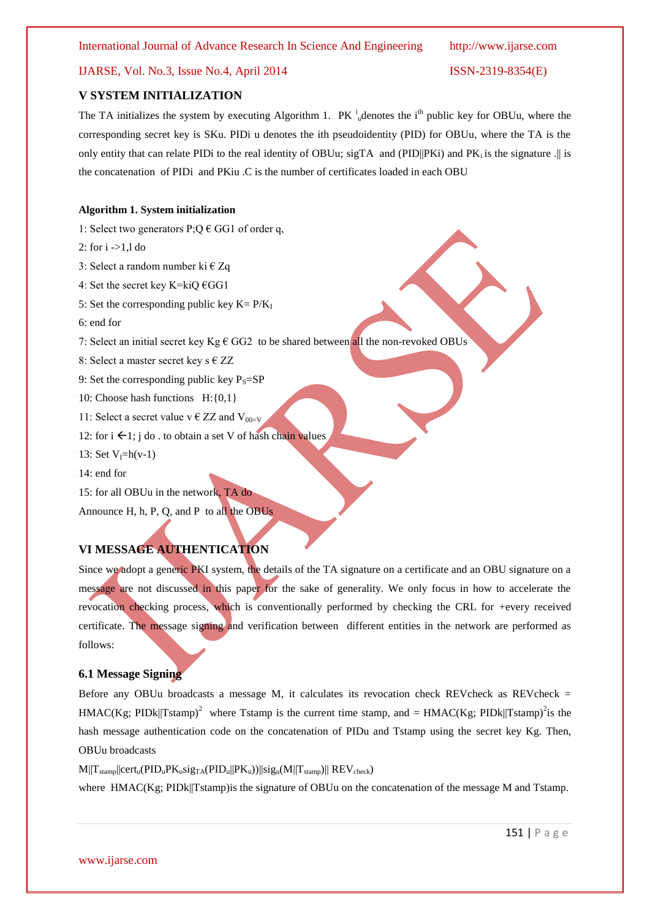#### **V SYSTEM INITIALIZATION**

The TA initializes the system by executing Algorithm 1.  $PK_{ul}^i$  denotes the i<sup>th</sup> public key for OBUu, where the corresponding secret key is SKu. PIDi u denotes the ith pseudoidentity (PID) for OBUu, where the TA is the only entity that can relate PIDi to the real identity of OBUu; sigTA and (PID||PKi) and PK<sub>i</sub> is the signature .|| is the concatenation of PIDi and PKiu .C is the number of certificates loaded in each OBU

#### **Algorithm 1. System initialization**

- 1: Select two generators  $P$ ; Q  $\in$  GG1 of order q,
- 2: for  $i > 1.1$  do
- 3: Select a random number ki  $\in Z_q$
- 4: Set the secret key K=kiQ  $\epsilon$ GG1
- 5: Set the corresponding public key  $K = P/K_I$
- 6: end for
- 7: Select an initial secret key Kg  $\epsilon$  GG2 to be shared between all the non-revoked OBUs
- 8: Select a master secret key s  $\epsilon$  ZZ
- 9: Set the corresponding public key  $P_s = SP$
- 10: Choose hash functions H:{0,1}
- 11: Select a secret value  $v \in ZZ$  and  $V_{00=V}$
- 12: for  $i \leftarrow 1$ ; j do . to obtain a set V of hash chain values
- 13: Set  $V_I=h(v-1)$
- 14: end for
- 15: for all OBUu in the network, TA do
- Announce H, h, P, Q, and P to all the OBUs

### **VI MESSAGE AUTHENTICATION**

Since we adopt a generic PKI system, the details of the TA signature on a certificate and an OBU signature on a message are not discussed in this paper for the sake of generality. We only focus in how to accelerate the revocation checking process, which is conventionally performed by checking the CRL for +every received certificate. The message signing and verification between different entities in the network are performed as follows:

#### **6.1 Message Signing**

Before any OBUu broadcasts a message M, it calculates its revocation check REVcheck as REVcheck  $=$  $HMAC(Kg; PIDk||Tstamp)<sup>2</sup>$  where Tstamp is the current time stamp, and =  $HMAC(Kg; PIDk||Tstamp)<sup>2</sup>$  is the hash message authentication code on the concatenation of PIDu and Tstamp using the secret key Kg. Then, OBUu broadcasts

 $M||T_{stamp}||cert_u(PID_uPK_usig_{TA}(PID_u||PK_u))||sig_u(M||T_{stamp})||$   $REV_{check})$ 

where HMAC(Kg; PIDk||Tstamp) is the signature of OBUu on the concatenation of the message M and Tstamp.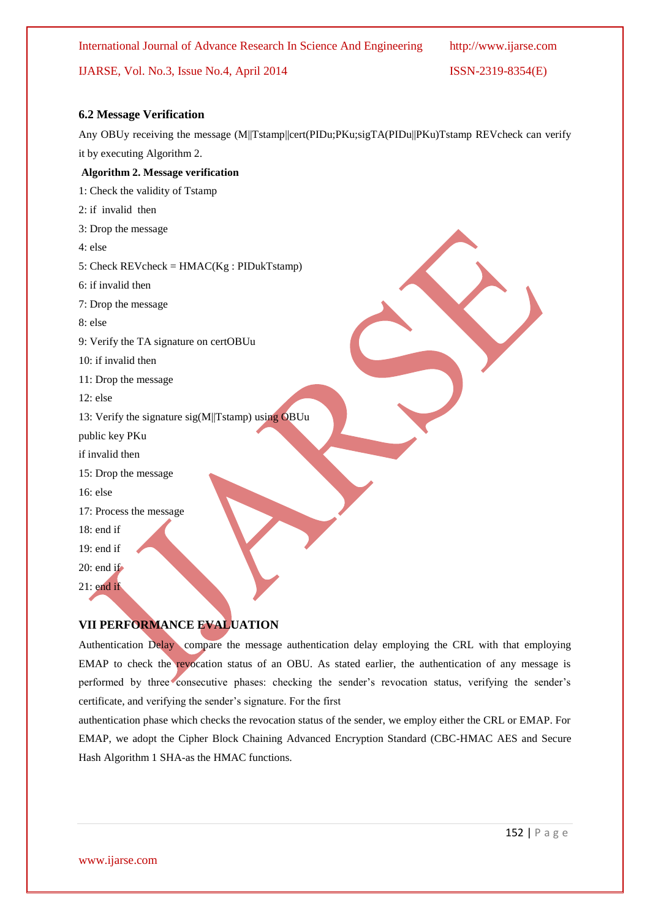International Journal of Advance Research In Science And Engineering http://www.ijarse.com

### IJARSE, Vol. No.3, Issue No.4, April 2014 ISSN-2319-8354(E)

#### **6.2 Message Verification**

Any OBUy receiving the message (M||Tstamp||cert(PIDu;PKu;sigTA(PIDu||PKu)Tstamp REVcheck can verify it by executing Algorithm 2.

#### **Algorithm 2. Message verification**

1: Check the validity of Tstamp

- 2: if invalid then
- 3: Drop the message
- 4: else
- 5: Check  $REVcheck = HMAC(Kg : PIDukTstamp)$
- 6: if invalid then
- 7: Drop the message
- 8: else
- 9: Verify the TA signature on certOBUu
- 10: if invalid then
- 11: Drop the message
- 12: else
- 13: Verify the signature  $sig(M||Tstamp)$  using OBUu
- public key PKu
- if invalid then
- 15: Drop the message
- 16: else
- 17: Process the message
- 18: end if
- 19: end if
- 20: end if
- 21: end if

#### **VII PERFORMANCE EVALUATION**

Authentication Delay compare the message authentication delay employing the CRL with that employing EMAP to check the revocation status of an OBU. As stated earlier, the authentication of any message is performed by three consecutive phases: checking the sender's revocation status, verifying the sender's certificate, and verifying the sender's signature. For the first

authentication phase which checks the revocation status of the sender, we employ either the CRL or EMAP. For EMAP, we adopt the Cipher Block Chaining Advanced Encryption Standard (CBC-HMAC AES and Secure Hash Algorithm 1 SHA-as the HMAC functions.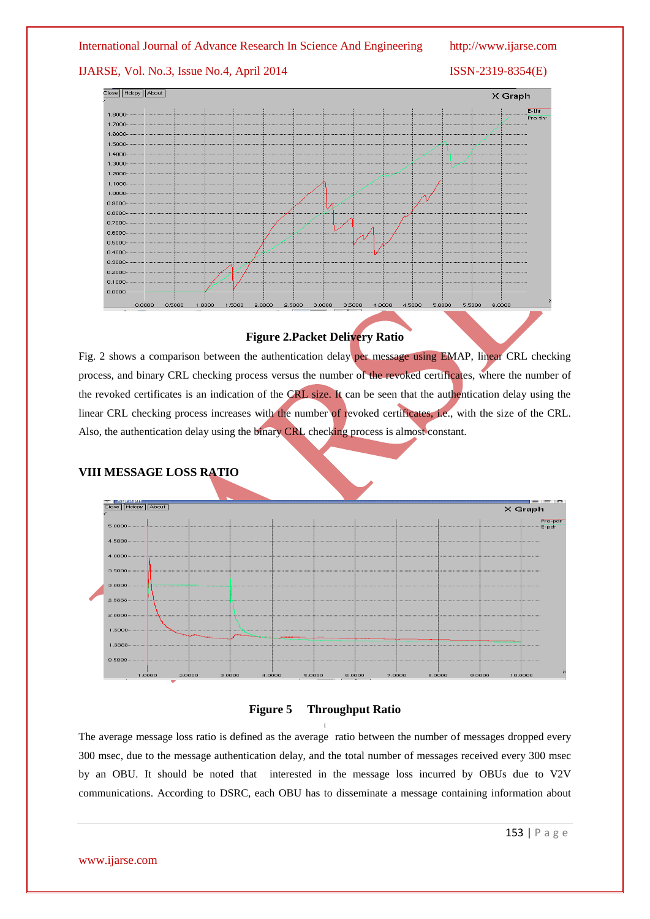#### International Journal of Advance Research In Science And Engineering http://www.ijarse.com

### IJARSE, Vol. No.3, Issue No.4, April 2014 ISSN-2319-8354(E)



### **Figure 2.Packet Delivery Ratio**

Fig. 2 shows a comparison between the authentication delay per message using EMAP, linear CRL checking process, and binary CRL checking process versus the number of the revoked certificates, where the number of the revoked certificates is an indication of the CRL size. It can be seen that the authentication delay using the linear CRL checking process increases with the number of revoked certificates, i.e., with the size of the CRL. Also, the authentication delay using the binary CRL checking process is almost constant.

### **VIII MESSAGE LOSS RATIO**





The average message loss ratio is defined as the average ratio between the number of messages dropped every 300 msec, due to the message authentication delay, and the total number of messages received every 300 msec by an OBU. It should be noted that interested in the message loss incurred by OBUs due to V2V communications. According to DSRC, each OBU has to disseminate a message containing information about